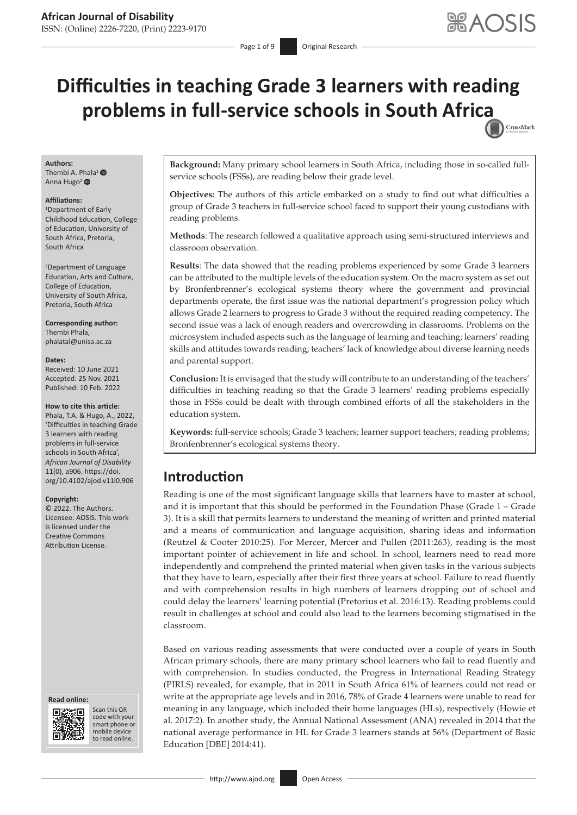CrossMark

# **Difficulties in teaching Grade 3 learners with reading problems in full-service schools in South Afri[ca](http://crossmark.crossref.org/dialog/?doi=10.4102/ajod.v11i0.906=pdf&date_stamp=2022-02-10)**

#### **Authors:** Thembi A. [Phal](http://orcid.org/0000-0002-8580-5275)a<sup>1</sup> <sup>O</sup>

Anna Hugo<sup>2</sup>

#### **Affiliations:**

1 Department of Early Childhood Education, College of Education, University of South Africa, Pretoria, South Africa

2 Department of Language Education, Arts and Culture, College of Education, University of South Africa, Pretoria, South Africa

**Corresponding author:** Thembi Phala, [phalatal@unisa.ac.za](mailto:phalatal@unisa.ac.za)

#### **Dates:**

Received: 10 June 2021 Accepted: 25 Nov. 2021 Published: 10 Feb. 2022

#### **How to cite this article:**

Phala, T.A. & Hugo, A., 2022, 'Difficulties in teaching Grade 3 learners with reading problems in full-service schools in South Africa', *African Journal of Disability* 11(0), a906. [https://doi.](https://doi.org/10.4102/ajod.v11i0.906) [org/10.4102/ajod.v11i0.906](https://doi.org/10.4102/ajod.v11i0.906)

#### **Copyright:**

© 2022. The Authors. Licensee: AOSIS. This work is licensed under the Creative Commons Attribution License.

#### **Read online: Read online:**



Scan this QR code with your Scan this QR<br>code with your<br>smart phone or<br>mobile device mobile device to read online. to read online.

**Background:** Many primary school learners in South Africa, including those in so-called fullservice schools (FSSs), are reading below their grade level.

**Objectives:** The authors of this article embarked on a study to find out what difficulties a group of Grade 3 teachers in full-service school faced to support their young custodians with reading problems.

**Methods**: The research followed a qualitative approach using semi-structured interviews and classroom observation.

**Results**: The data showed that the reading problems experienced by some Grade 3 learners can be attributed to the multiple levels of the education system. On the macro system as set out by Bronfenbrenner's ecological systems theory where the government and provincial departments operate, the first issue was the national department's progression policy which allows Grade 2 learners to progress to Grade 3 without the required reading competency. The second issue was a lack of enough readers and overcrowding in classrooms. Problems on the microsystem included aspects such as the language of learning and teaching; learners' reading skills and attitudes towards reading; teachers' lack of knowledge about diverse learning needs and parental support.

**Conclusion:** It is envisaged that the study will contribute to an understanding of the teachers' difficulties in teaching reading so that the Grade 3 learners' reading problems especially those in FSSs could be dealt with through combined efforts of all the stakeholders in the education system.

**Keywords:** full-service schools; Grade 3 teachers; learner support teachers; reading problems; Bronfenbrenner's ecological systems theory.

# **Introduction**

Reading is one of the most significant language skills that learners have to master at school, and it is important that this should be performed in the Foundation Phase (Grade 1 – Grade 3). It is a skill that permits learners to understand the meaning of written and printed material and a means of communication and language acquisition, sharing ideas and information (Reutzel & Cooter 2010:25). For Mercer, Mercer and Pullen (2011:263), reading is the most important pointer of achievement in life and school. In school, learners need to read more independently and comprehend the printed material when given tasks in the various subjects that they have to learn, especially after their first three years at school. Failure to read fluently and with comprehension results in high numbers of learners dropping out of school and could delay the learners' learning potential (Pretorius et al. 2016:13). Reading problems could result in challenges at school and could also lead to the learners becoming stigmatised in the classroom.

Based on various reading assessments that were conducted over a couple of years in South African primary schools, there are many primary school learners who fail to read fluently and with comprehension. In studies conducted, the Progress in International Reading Strategy (PIRLS) revealed, for example, that in 2011 in South Africa 61% of learners could not read or write at the appropriate age levels and in 2016, 78% of Grade 4 learners were unable to read for meaning in any language, which included their home languages (HLs), respectively (Howie et al. 2017:2). In another study, the Annual National Assessment (ANA) revealed in 2014 that the national average performance in HL for Grade 3 learners stands at 56% (Department of Basic Education [DBE] 2014:41).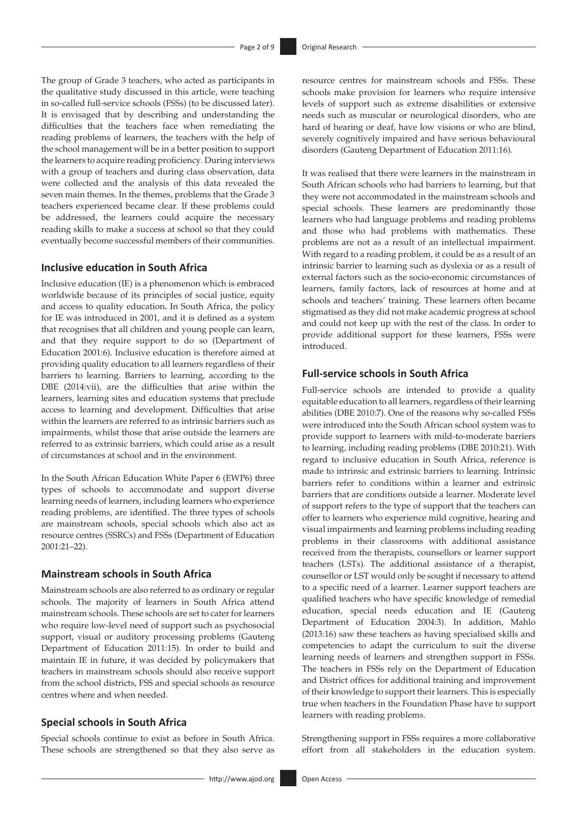The group of Grade 3 teachers, who acted as participants in the qualitative study discussed in this article, were teaching in so-called full-service schools (FSSs) (to be discussed later). It is envisaged that by describing and understanding the difficulties that the teachers face when remediating the reading problems of learners, the teachers with the help of the school management will be in a better position to support the learners to acquire reading proficiency. During interviews with a group of teachers and during class observation, data were collected and the analysis of this data revealed the seven main themes. In the themes, problems that the Grade 3 teachers experienced became clear. If these problems could be addressed, the learners could acquire the necessary reading skills to make a success at school so that they could eventually become successful members of their communities.

#### **Inclusive education in South Africa**

Inclusive education (IE) is a phenomenon which is embraced worldwide because of its principles of social justice, equity and access to quality education**.** In South Africa, the policy for IE was introduced in 2001, and it is defined as a system that recognises that all children and young people can learn, and that they require support to do so (Department of Education 2001:6). Inclusive education is therefore aimed at providing quality education to all learners regardless of their barriers to learning. Barriers to learning, according to the DBE (2014:vii), are the difficulties that arise within the learners, learning sites and education systems that preclude access to learning and development. Difficulties that arise within the learners are referred to as intrinsic barriers such as impairments, whilst those that arise outside the learners are referred to as extrinsic barriers, which could arise as a result of circumstances at school and in the environment.

In the South African Education White Paper 6 (EWP6) three types of schools to accommodate and support diverse learning needs of learners, including learners who experience reading problems, are identified. The three types of schools are mainstream schools, special schools which also act as resource centres (SSRCs) and FSSs (Department of Education 2001:21–22).

#### **Mainstream schools in South Africa**

Mainstream schools are also referred to as ordinary or regular schools. The majority of learners in South Africa attend mainstream schools. These schools are set to cater for learners who require low-level need of support such as psychosocial support, visual or auditory processing problems (Gauteng Department of Education 2011:15). In order to build and maintain IE in future, it was decided by policymakers that teachers in mainstream schools should also receive support from the school districts, FSS and special schools as resource centres where and when needed.

#### **Special schools in South Africa**

Special schools continue to exist as before in South Africa. These schools are strengthened so that they also serve as resource centres for mainstream schools and FSSs. These schools make provision for learners who require intensive levels of support such as extreme disabilities or extensive needs such as muscular or neurological disorders, who are hard of hearing or deaf, have low visions or who are blind, severely cognitively impaired and have serious behavioural disorders (Gauteng Department of Education 2011:16).

It was realised that there were learners in the mainstream in South African schools who had barriers to learning, but that they were not accommodated in the mainstream schools and special schools. These learners are predominantly those learners who had language problems and reading problems and those who had problems with mathematics. These problems are not as a result of an intellectual impairment. With regard to a reading problem, it could be as a result of an intrinsic barrier to learning such as dyslexia or as a result of external factors such as the socio-economic circumstances of learners, family factors, lack of resources at home and at schools and teachers' training. These learners often became stigmatised as they did not make academic progress at school and could not keep up with the rest of the class. In order to provide additional support for these learners, FSSs were introduced.

### **Full-service schools in South Africa**

Full-service schools are intended to provide a quality equitable education to all learners, regardless of their learning abilities (DBE 2010:7). One of the reasons why so-called FSSs were introduced into the South African school system was to provide support to learners with mild-to-moderate barriers to learning, including reading problems (DBE 2010:21). With regard to inclusive education in South Africa, reference is made to intrinsic and extrinsic barriers to learning. Intrinsic barriers refer to conditions within a learner and extrinsic barriers that are conditions outside a learner. Moderate level of support refers to the type of support that the teachers can offer to learners who experience mild cognitive, hearing and visual impairments and learning problems including reading problems in their classrooms with additional assistance received from the therapists, counsellors or learner support teachers (LSTs). The additional assistance of a therapist, counsellor or LST would only be sought if necessary to attend to a specific need of a learner. Learner support teachers are qualified teachers who have specific knowledge of remedial education, special needs education and IE (Gauteng Department of Education 2004:3). In addition, Mahlo (2013:16) saw these teachers as having specialised skills and competencies to adapt the curriculum to suit the diverse learning needs of learners and strengthen support in FSSs. The teachers in FSSs rely on the Department of Education and District offices for additional training and improvement of their knowledge to support their learners. This is especially true when teachers in the Foundation Phase have to support learners with reading problems.

Strengthening support in FSSs requires a more collaborative effort from all stakeholders in the education system.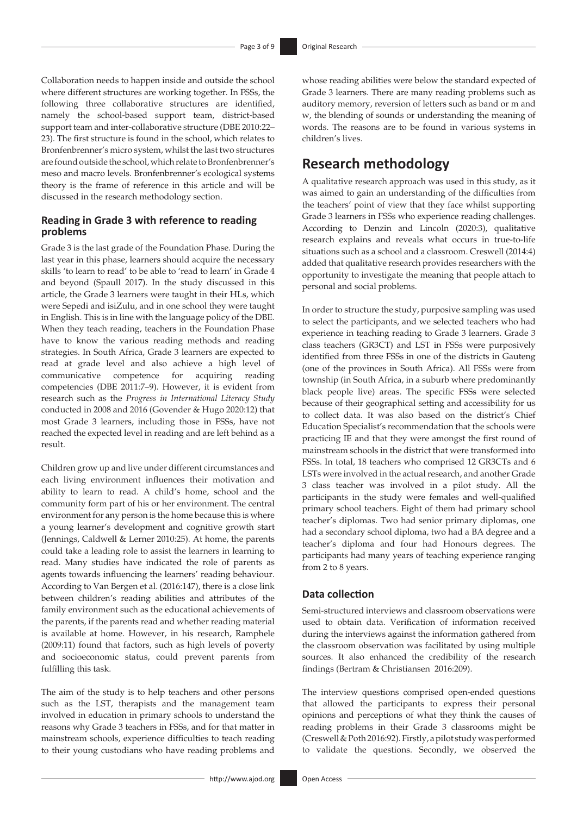Collaboration needs to happen inside and outside the school where different structures are working together. In FSSs, the following three collaborative structures are identified, namely the school-based support team, district-based support team and inter-collaborative structure (DBE 2010:22– 23). The first structure is found in the school, which relates to Bronfenbrenner's micro system, whilst the last two structures are found outside the school, which relate to Bronfenbrenner's meso and macro levels. Bronfenbrenner's ecological systems theory is the frame of reference in this article and will be discussed in the research methodology section.

### **Reading in Grade 3 with reference to reading problems**

Grade 3 is the last grade of the Foundation Phase. During the last year in this phase, learners should acquire the necessary skills 'to learn to read' to be able to 'read to learn' in Grade 4 and beyond (Spaull 2017). In the study discussed in this article, the Grade 3 learners were taught in their HLs, which were Sepedi and isiZulu, and in one school they were taught in English. This is in line with the language policy of the DBE. When they teach reading, teachers in the Foundation Phase have to know the various reading methods and reading strategies. In South Africa, Grade 3 learners are expected to read at grade level and also achieve a high level of communicative competence for acquiring reading competencies (DBE 2011:7–9). However, it is evident from research such as the *Progress in International Literacy Study*  conducted in 2008 and 2016 (Govender & Hugo 2020:12) that most Grade 3 learners, including those in FSSs, have not reached the expected level in reading and are left behind as a result.

Children grow up and live under different circumstances and each living environment influences their motivation and ability to learn to read. A child's home, school and the community form part of his or her environment. The central environment for any person is the home because this is where a young learner's development and cognitive growth start (Jennings, Caldwell & Lerner 2010:25). At home, the parents could take a leading role to assist the learners in learning to read. Many studies have indicated the role of parents as agents towards influencing the learners' reading behaviour. According to Van Bergen et al. (2016:147), there is a close link between children's reading abilities and attributes of the family environment such as the educational achievements of the parents, if the parents read and whether reading material is available at home. However, in his research, Ramphele (2009:11) found that factors, such as high levels of poverty and socioeconomic status, could prevent parents from fulfilling this task.

The aim of the study is to help teachers and other persons such as the LST, therapists and the management team involved in education in primary schools to understand the reasons why Grade 3 teachers in FSSs, and for that matter in mainstream schools, experience difficulties to teach reading to their young custodians who have reading problems and

whose reading abilities were below the standard expected of Grade 3 learners. There are many reading problems such as auditory memory, reversion of letters such as band or m and w, the blending of sounds or understanding the meaning of words. The reasons are to be found in various systems in children's lives.

# **Research methodology**

A qualitative research approach was used in this study, as it was aimed to gain an understanding of the difficulties from the teachers' point of view that they face whilst supporting Grade 3 learners in FSSs who experience reading challenges. According to Denzin and Lincoln (2020:3), qualitative research explains and reveals what occurs in true-to-life situations such as a school and a classroom. Creswell (2014:4) added that qualitative research provides researchers with the opportunity to investigate the meaning that people attach to personal and social problems.

In order to structure the study, purposive sampling was used to select the participants, and we selected teachers who had experience in teaching reading to Grade 3 learners. Grade 3 class teachers (GR3CT) and LST in FSSs were purposively identified from three FSSs in one of the districts in Gauteng (one of the provinces in South Africa). All FSSs were from township (in South Africa, in a suburb where predominantly black people live) areas. The specific FSSs were selected because of their geographical setting and accessibility for us to collect data. It was also based on the district's Chief Education Specialist's recommendation that the schools were practicing IE and that they were amongst the first round of mainstream schools in the district that were transformed into FSSs. In total, 18 teachers who comprised 12 GR3CTs and 6 LSTs were involved in the actual research, and another Grade 3 class teacher was involved in a pilot study. All the participants in the study were females and well-qualified primary school teachers. Eight of them had primary school teacher's diplomas. Two had senior primary diplomas, one had a secondary school diploma, two had a BA degree and a teacher's diploma and four had Honours degrees. The participants had many years of teaching experience ranging from 2 to 8 years.

### **Data collection**

Semi-structured interviews and classroom observations were used to obtain data. Verification of information received during the interviews against the information gathered from the classroom observation was facilitated by using multiple sources. It also enhanced the credibility of the research findings (Bertram & Christiansen 2016:209).

The interview questions comprised open-ended questions that allowed the participants to express their personal opinions and perceptions of what they think the causes of reading problems in their Grade 3 classrooms might be (Creswell & Poth 2016:92). Firstly, a pilot study was performed to validate the questions. Secondly, we observed the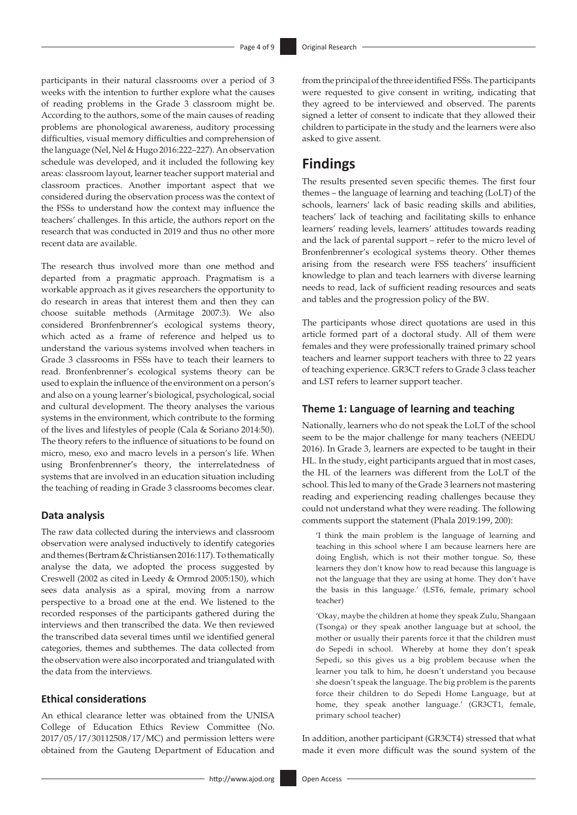participants in their natural classrooms over a period of 3 weeks with the intention to further explore what the causes of reading problems in the Grade 3 classroom might be. According to the authors, some of the main causes of reading problems are phonological awareness, auditory processing difficulties, visual memory difficulties and comprehension of the language (Nel, Nel & Hugo 2016:222–227). An observation schedule was developed, and it included the following key areas: classroom layout, learner teacher support material and classroom practices. Another important aspect that we considered during the observation process was the context of the FSSs to understand how the context may influence the teachers' challenges. In this article, the authors report on the research that was conducted in 2019 and thus no other more recent data are available.

The research thus involved more than one method and departed from a pragmatic approach. Pragmatism is a workable approach as it gives researchers the opportunity to do research in areas that interest them and then they can choose suitable methods (Armitage 2007:3). We also considered Bronfenbrenner's ecological systems theory, which acted as a frame of reference and helped us to understand the various systems involved when teachers in Grade 3 classrooms in FSSs have to teach their learners to read. Bronfenbrenner's ecological systems theory can be used to explain the influence of the environment on a person's and also on a young learner's biological, psychological, social and cultural development. The theory analyses the various systems in the environment, which contribute to the forming of the lives and lifestyles of people (Cala & Soriano 2014:50). The theory refers to the influence of situations to be found on micro, meso, exo and macro levels in a person's life. When using Bronfenbrenner's theory, the interrelatedness of systems that are involved in an education situation including the teaching of reading in Grade 3 classrooms becomes clear.

#### **Data analysis**

The raw data collected during the interviews and classroom observation were analysed inductively to identify categories and themes (Bertram & Christiansen 2016:117). To thematically analyse the data, we adopted the process suggested by Creswell (2002 as cited in Leedy & Ormrod 2005:150), which sees data analysis as a spiral, moving from a narrow perspective to a broad one at the end. We listened to the recorded responses of the participants gathered during the interviews and then transcribed the data. We then reviewed the transcribed data several times until we identified general categories, themes and subthemes. The data collected from the observation were also incorporated and triangulated with the data from the interviews.

#### **Ethical considerations**

An ethical clearance letter was obtained from the UNISA College of Education Ethics Review Committee (No. 2017/05/17/30112508/17/MC) and permission letters were obtained from the Gauteng Department of Education and

from the principal of the three identified FSSs. The participants were requested to give consent in writing, indicating that they agreed to be interviewed and observed. The parents signed a letter of consent to indicate that they allowed their children to participate in the study and the learners were also asked to give assent.

# **Findings**

The results presented seven specific themes. The first four themes – the language of learning and teaching (LoLT) of the schools, learners' lack of basic reading skills and abilities, teachers' lack of teaching and facilitating skills to enhance learners' reading levels, learners' attitudes towards reading and the lack of parental support – refer to the micro level of Bronfenbrenner's ecological systems theory. Other themes arising from the research were FSS teachers' insufficient knowledge to plan and teach learners with diverse learning needs to read, lack of sufficient reading resources and seats and tables and the progression policy of the BW.

The participants whose direct quotations are used in this article formed part of a doctoral study. All of them were females and they were professionally trained primary school teachers and learner support teachers with three to 22 years of teaching experience. GR3CT refers to Grade 3 class teacher and LST refers to learner support teacher.

#### **Theme 1: Language of learning and teaching**

Nationally, learners who do not speak the LoLT of the school seem to be the major challenge for many teachers (NEEDU 2016). In Grade 3, learners are expected to be taught in their HL. In the study, eight participants argued that in most cases, the HL of the learners was different from the LoLT of the school. This led to many of the Grade 3 learners not mastering reading and experiencing reading challenges because they could not understand what they were reading. The following comments support the statement (Phala 2019:199, 200):

'I think the main problem is the language of learning and teaching in this school where I am because learners here are doing English, which is not their mother tongue. So, these learners they don't know how to read because this language is not the language that they are using at home. They don't have the basis in this language.' (LST6, female, primary school teacher)

'Okay, maybe the children at home they speak Zulu, Shangaan (Tsonga) or they speak another language but at school, the mother or usually their parents force it that the children must do Sepedi in school. Whereby at home they don't speak Sepedi, so this gives us a big problem because when the learner you talk to him, he doesn't understand you because she doesn't speak the language. The big problem is the parents force their children to do Sepedi Home Language, but at home, they speak another language.' (GR3CT1, female, primary school teacher)

In addition, another participant (GR3CT4) stressed that what made it even more difficult was the sound system of the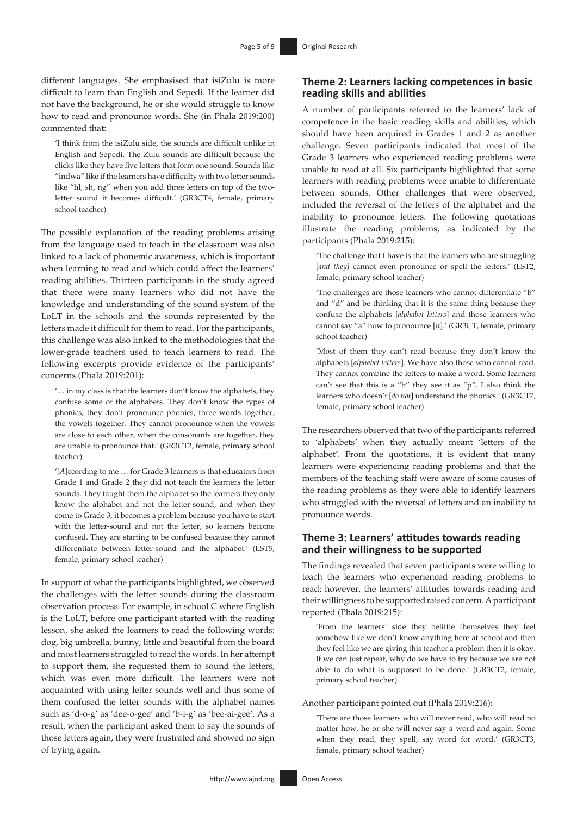different languages. She emphasised that isiZulu is more difficult to learn than English and Sepedi. If the learner did not have the background, he or she would struggle to know how to read and pronounce words. She (in Phala 2019:200) commented that:

'I think from the isiZulu side, the sounds are difficult unlike in English and Sepedi. The Zulu sounds are difficult because the clicks like they have five letters that form one sound. Sounds like "indwa" like if the learners have difficulty with two letter sounds like "hl, sh, ng" when you add three letters on top of the twoletter sound it becomes difficult.' (GR3CT4, female, primary school teacher)

The possible explanation of the reading problems arising from the language used to teach in the classroom was also linked to a lack of phonemic awareness, which is important when learning to read and which could affect the learners' reading abilities. Thirteen participants in the study agreed that there were many learners who did not have the knowledge and understanding of the sound system of the LoLT in the schools and the sounds represented by the letters made it difficult for them to read. For the participants, this challenge was also linked to the methodologies that the lower-grade teachers used to teach learners to read. The following excerpts provide evidence of the participants' concerns (Phala 2019:201):

'… in my class is that the learners don't know the alphabets, they confuse some of the alphabets. They don't know the types of phonics, they don't pronounce phonics, three words together, the vowels together. They cannot pronounce when the vowels are close to each other, when the consonants are together, they are unable to pronounce that.' (GR3CT2, female, primary school teacher)

'[*A*]ccording to me … for Grade 3 learners is that educators from Grade 1 and Grade 2 they did not teach the learners the letter sounds. They taught them the alphabet so the learners they only know the alphabet and not the letter-sound, and when they come to Grade 3, it becomes a problem because you have to start with the letter-sound and not the letter, so learners become confused. They are starting to be confused because they cannot differentiate between letter-sound and the alphabet.' (LST5, female, primary school teacher)

In support of what the participants highlighted, we observed the challenges with the letter sounds during the classroom observation process. For example, in school C where English is the LoLT, before one participant started with the reading lesson, she asked the learners to read the following words: dog, big umbrella, bunny, little and beautiful from the board and most learners struggled to read the words. In her attempt to support them, she requested them to sound the letters, which was even more difficult. The learners were not acquainted with using letter sounds well and thus some of them confused the letter sounds with the alphabet names such as 'd-o-g' as 'dee-o-gee' and 'b-i-g' as 'bee-ai-gee'. As a result, when the participant asked them to say the sounds of those letters again, they were frustrated and showed no sign of trying again.

### **Theme 2: Learners lacking competences in basic reading skills and abilities**

A number of participants referred to the learners' lack of competence in the basic reading skills and abilities, which should have been acquired in Grades 1 and 2 as another challenge. Seven participants indicated that most of the Grade 3 learners who experienced reading problems were unable to read at all. Six participants highlighted that some learners with reading problems were unable to differentiate between sounds. Other challenges that were observed, included the reversal of the letters of the alphabet and the inability to pronounce letters. The following quotations illustrate the reading problems, as indicated by the participants (Phala 2019:215):

'The challenge that I have is that the learners who are struggling [and they] cannot even pronounce or spell the letters.' (LST2, female, primary school teacher)

'The challenges are those learners who cannot differentiate "b" and "d" and be thinking that it is the same thing because they confuse the alphabets [*alphabet letters*] and those learners who cannot say "a" how to pronounce [*it*].' (GR3CT, female, primary school teacher)

'Most of them they can't read because they don't know the alphabets [*alphabet letters*]. We have also those who cannot read. They cannot combine the letters to make a word. Some learners can't see that this is a "b" they see it as "p". I also think the learners who doesn't [*do not*] understand the phonics.' (GR3CT7, female, primary school teacher)

The researchers observed that two of the participants referred to 'alphabets' when they actually meant 'letters of the alphabet'. From the quotations, it is evident that many learners were experiencing reading problems and that the members of the teaching staff were aware of some causes of the reading problems as they were able to identify learners who struggled with the reversal of letters and an inability to pronounce words.

### **Theme 3: Learners' attitudes towards reading and their willingness to be supported**

The findings revealed that seven participants were willing to teach the learners who experienced reading problems to read; however, the learners' attitudes towards reading and their willingness to be supported raised concern. A participant reported (Phala 2019:215):

'From the learners' side they belittle themselves they feel somehow like we don't know anything here at school and then they feel like we are giving this teacher a problem then it is okay. If we can just repeat, why do we have to try because we are not able to do what is supposed to be done.' (GR3CT2, female, primary school teacher)

Another participant pointed out (Phala 2019:216):

'There are those learners who will never read, who will read no matter how, he or she will never say a word and again. Some when they read, they spell, say word for word.' (GR3CT3, female, primary school teacher)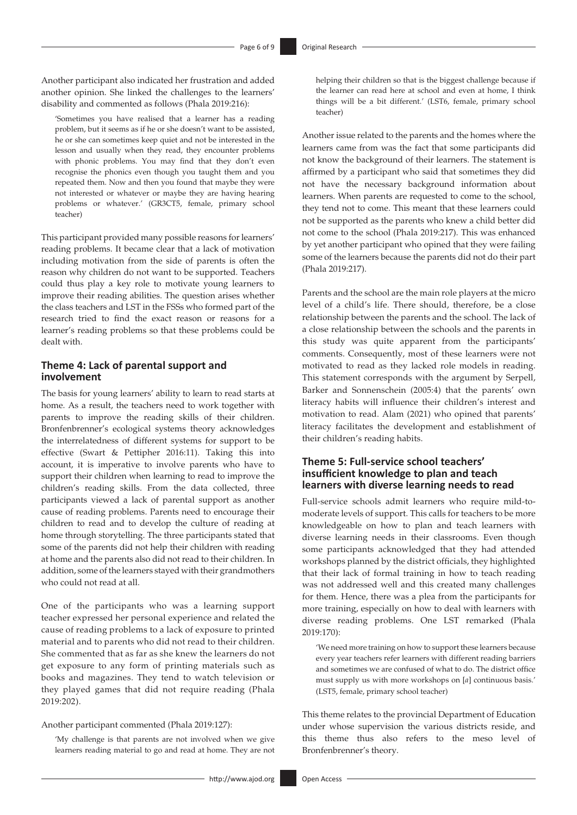Another participant also indicated her frustration and added another opinion. She linked the challenges to the learners' disability and commented as follows (Phala 2019:216):

'Sometimes you have realised that a learner has a reading problem, but it seems as if he or she doesn't want to be assisted, he or she can sometimes keep quiet and not be interested in the lesson and usually when they read, they encounter problems with phonic problems. You may find that they don't even recognise the phonics even though you taught them and you repeated them. Now and then you found that maybe they were not interested or whatever or maybe they are having hearing problems or whatever.' (GR3CT5, female, primary school teacher)

This participant provided many possible reasons for learners' reading problems. It became clear that a lack of motivation including motivation from the side of parents is often the reason why children do not want to be supported. Teachers could thus play a key role to motivate young learners to improve their reading abilities. The question arises whether the class teachers and LST in the FSSs who formed part of the research tried to find the exact reason or reasons for a learner's reading problems so that these problems could be dealt with.

### **Theme 4: Lack of parental support and involvement**

The basis for young learners' ability to learn to read starts at home. As a result, the teachers need to work together with parents to improve the reading skills of their children. Bronfenbrenner's ecological systems theory acknowledges the interrelatedness of different systems for support to be effective (Swart & Pettipher 2016:11). Taking this into account, it is imperative to involve parents who have to support their children when learning to read to improve the children's reading skills. From the data collected, three participants viewed a lack of parental support as another cause of reading problems. Parents need to encourage their children to read and to develop the culture of reading at home through storytelling. The three participants stated that some of the parents did not help their children with reading at home and the parents also did not read to their children. In addition, some of the learners stayed with their grandmothers who could not read at all.

One of the participants who was a learning support teacher expressed her personal experience and related the cause of reading problems to a lack of exposure to printed material and to parents who did not read to their children. She commented that as far as she knew the learners do not get exposure to any form of printing materials such as books and magazines. They tend to watch television or they played games that did not require reading (Phala 2019:202).

#### Another participant commented (Phala 2019:127):

'My challenge is that parents are not involved when we give learners reading material to go and read at home. They are not

Another issue related to the parents and the homes where the learners came from was the fact that some participants did not know the background of their learners. The statement is affirmed by a participant who said that sometimes they did not have the necessary background information about learners. When parents are requested to come to the school, they tend not to come. This meant that these learners could not be supported as the parents who knew a child better did not come to the school (Phala 2019:217). This was enhanced by yet another participant who opined that they were failing some of the learners because the parents did not do their part (Phala 2019:217).

Parents and the school are the main role players at the micro level of a child's life. There should, therefore, be a close relationship between the parents and the school. The lack of a close relationship between the schools and the parents in this study was quite apparent from the participants' comments. Consequently, most of these learners were not motivated to read as they lacked role models in reading. This statement corresponds with the argument by Serpell, Barker and Sonnenschein (2005:4) that the parents' own literacy habits will influence their children's interest and motivation to read. Alam (2021) who opined that parents' literacy facilitates the development and establishment of their children's reading habits.

### **Theme 5: Full-service school teachers' insufficient knowledge to plan and teach learners with diverse learning needs to read**

Full-service schools admit learners who require mild-tomoderate levels of support. This calls for teachers to be more knowledgeable on how to plan and teach learners with diverse learning needs in their classrooms. Even though some participants acknowledged that they had attended workshops planned by the district officials, they highlighted that their lack of formal training in how to teach reading was not addressed well and this created many challenges for them. Hence, there was a plea from the participants for more training, especially on how to deal with learners with diverse reading problems. One LST remarked (Phala 2019:170):

'We need more training on how to support these learners because every year teachers refer learners with different reading barriers and sometimes we are confused of what to do. The district office must supply us with more workshops on [*a*] continuous basis.' (LST5, female, primary school teacher)

This theme relates to the provincial Department of Education under whose supervision the various districts reside, and this theme thus also refers to the meso level of Bronfenbrenner's theory.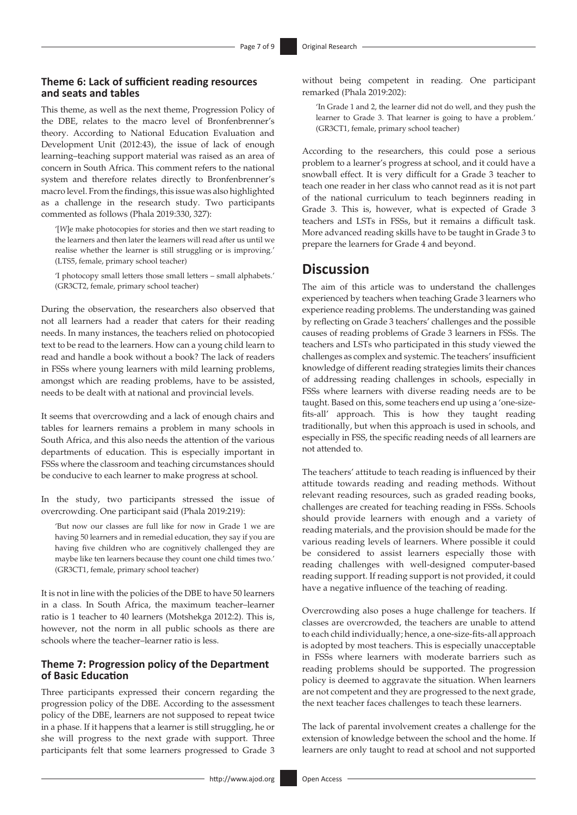### **Theme 6: Lack of sufficient reading resources and seats and tables**

This theme, as well as the next theme, Progression Policy of the DBE, relates to the macro level of Bronfenbrenner's theory. According to National Education Evaluation and Development Unit (2012:43), the issue of lack of enough learning–teaching support material was raised as an area of concern in South Africa. This comment refers to the national system and therefore relates directly to Bronfenbrenner's macro level. From the findings, this issue was also highlighted as a challenge in the research study. Two participants commented as follows (Phala 2019:330, 327):

'[*W*]e make photocopies for stories and then we start reading to the learners and then later the learners will read after us until we realise whether the learner is still struggling or is improving.' (LTS5, female, primary school teacher)

'I photocopy small letters those small letters – small alphabets.' (GR3CT2, female, primary school teacher)

During the observation, the researchers also observed that not all learners had a reader that caters for their reading needs. In many instances, the teachers relied on photocopied text to be read to the learners. How can a young child learn to read and handle a book without a book? The lack of readers in FSSs where young learners with mild learning problems, amongst which are reading problems, have to be assisted, needs to be dealt with at national and provincial levels.

It seems that overcrowding and a lack of enough chairs and tables for learners remains a problem in many schools in South Africa, and this also needs the attention of the various departments of education. This is especially important in FSSs where the classroom and teaching circumstances should be conducive to each learner to make progress at school.

In the study, two participants stressed the issue of overcrowding. One participant said (Phala 2019:219):

'But now our classes are full like for now in Grade 1 we are having 50 learners and in remedial education, they say if you are having five children who are cognitively challenged they are maybe like ten learners because they count one child times two.' (GR3CT1, female, primary school teacher)

It is not in line with the policies of the DBE to have 50 learners in a class. In South Africa, the maximum teacher–learner ratio is 1 teacher to 40 learners (Motshekga 2012:2). This is, however, not the norm in all public schools as there are schools where the teacher–learner ratio is less.

#### **Theme 7: Progression policy of the Department of Basic Education**

Three participants expressed their concern regarding the progression policy of the DBE. According to the assessment policy of the DBE, learners are not supposed to repeat twice in a phase. If it happens that a learner is still struggling, he or she will progress to the next grade with support. Three participants felt that some learners progressed to Grade 3

without being competent in reading. One participant remarked (Phala 2019:202):

'In Grade 1 and 2, the learner did not do well, and they push the learner to Grade 3. That learner is going to have a problem.' (GR3CT1, female, primary school teacher)

According to the researchers, this could pose a serious problem to a learner's progress at school, and it could have a snowball effect. It is very difficult for a Grade 3 teacher to teach one reader in her class who cannot read as it is not part of the national curriculum to teach beginners reading in Grade 3. This is, however, what is expected of Grade 3 teachers and LSTs in FSSs, but it remains a difficult task. More advanced reading skills have to be taught in Grade 3 to prepare the learners for Grade 4 and beyond.

## **Discussion**

The aim of this article was to understand the challenges experienced by teachers when teaching Grade 3 learners who experience reading problems. The understanding was gained by reflecting on Grade 3 teachers' challenges and the possible causes of reading problems of Grade 3 learners in FSSs. The teachers and LSTs who participated in this study viewed the challenges as complex and systemic. The teachers' insufficient knowledge of different reading strategies limits their chances of addressing reading challenges in schools, especially in FSSs where learners with diverse reading needs are to be taught. Based on this, some teachers end up using a 'one-sizefits-all' approach. This is how they taught reading traditionally, but when this approach is used in schools, and especially in FSS, the specific reading needs of all learners are not attended to.

The teachers' attitude to teach reading is influenced by their attitude towards reading and reading methods. Without relevant reading resources, such as graded reading books, challenges are created for teaching reading in FSSs. Schools should provide learners with enough and a variety of reading materials, and the provision should be made for the various reading levels of learners. Where possible it could be considered to assist learners especially those with reading challenges with well-designed computer-based reading support. If reading support is not provided, it could have a negative influence of the teaching of reading.

Overcrowding also poses a huge challenge for teachers. If classes are overcrowded, the teachers are unable to attend to each child individually; hence, a one-size-fits-all approach is adopted by most teachers. This is especially unacceptable in FSSs where learners with moderate barriers such as reading problems should be supported. The progression policy is deemed to aggravate the situation. When learners are not competent and they are progressed to the next grade, the next teacher faces challenges to teach these learners.

The lack of parental involvement creates a challenge for the extension of knowledge between the school and the home. If learners are only taught to read at school and not supported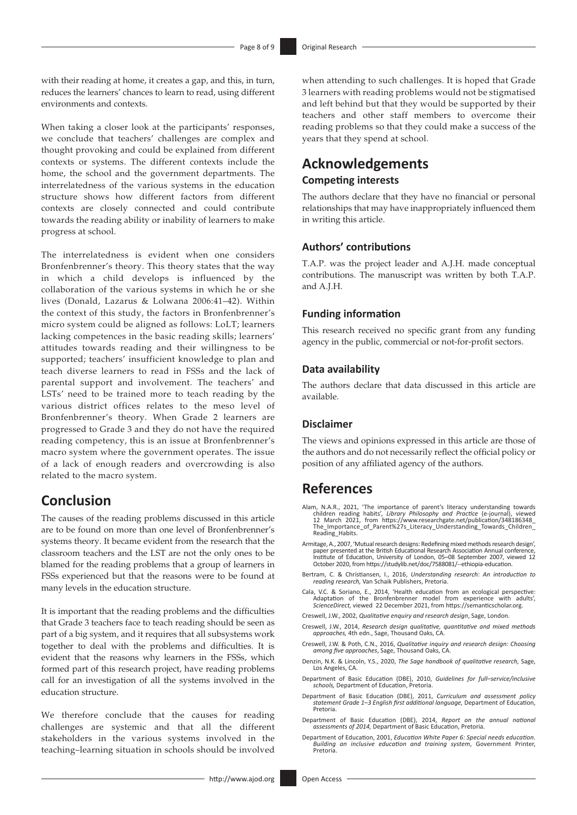with their reading at home, it creates a gap, and this, in turn, reduces the learners' chances to learn to read, using different environments and contexts.

When taking a closer look at the participants' responses, we conclude that teachers' challenges are complex and thought provoking and could be explained from different contexts or systems. The different contexts include the home, the school and the government departments. The interrelatedness of the various systems in the education structure shows how different factors from different contexts are closely connected and could contribute towards the reading ability or inability of learners to make progress at school.

The interrelatedness is evident when one considers Bronfenbrenner's theory. This theory states that the way in which a child develops is influenced by the collaboration of the various systems in which he or she lives (Donald, Lazarus & Lolwana 2006:41–42). Within the context of this study, the factors in Bronfenbrenner's micro system could be aligned as follows: LoLT; learners lacking competences in the basic reading skills; learners' attitudes towards reading and their willingness to be supported; teachers' insufficient knowledge to plan and teach diverse learners to read in FSSs and the lack of parental support and involvement. The teachers' and LSTs' need to be trained more to teach reading by the various district offices relates to the meso level of Bronfenbrenner's theory. When Grade 2 learners are progressed to Grade 3 and they do not have the required reading competency, this is an issue at Bronfenbrenner's macro system where the government operates. The issue of a lack of enough readers and overcrowding is also related to the macro system.

# **Conclusion**

The causes of the reading problems discussed in this article are to be found on more than one level of Bronfenbrenner's systems theory. It became evident from the research that the classroom teachers and the LST are not the only ones to be blamed for the reading problems that a group of learners in FSSs experienced but that the reasons were to be found at many levels in the education structure.

It is important that the reading problems and the difficulties that Grade 3 teachers face to teach reading should be seen as part of a big system, and it requires that all subsystems work together to deal with the problems and difficulties. It is evident that the reasons why learners in the FSSs, which formed part of this research project, have reading problems call for an investigation of all the systems involved in the education structure.

We therefore conclude that the causes for reading challenges are systemic and that all the different stakeholders in the various systems involved in the teaching–learning situation in schools should be involved

when attending to such challenges. It is hoped that Grade 3 learners with reading problems would not be stigmatised and left behind but that they would be supported by their teachers and other staff members to overcome their reading problems so that they could make a success of the years that they spend at school.

# **Acknowledgements**

### **Competing interests**

The authors declare that they have no financial or personal relationships that may have inappropriately influenced them in writing this article.

### **Authors' contributions**

T.A.P. was the project leader and A.J.H. made conceptual contributions. The manuscript was written by both T.A.P. and A.J.H.

#### **Funding information**

This research received no specific grant from any funding agency in the public, commercial or not-for-profit sectors.

#### **Data availability**

The authors declare that data discussed in this article are available.

#### **Disclaimer**

The views and opinions expressed in this article are those of the authors and do not necessarily reflect the official policy or position of any affiliated agency of the authors.

## **References**

- Alam, N.A.R., 2021, 'The importance of parent's literacy understanding towards<br>children reading habits', Library Philosophy and Practice (e-journal), viewed<br>12 March 2021, from https://www.researchgate.net/publication/3481 [Reading\\_Habits](https://www.researchgate.net/publication/348186348_The_Importance_of_Parent%27s_Literacy_Understanding_Towards_Children_Reading_Habits).
- Armitage, A., 2007, 'Mutual research designs: Redefining mixed methods research design', paper presented at the British Educational Research Association Annual conference, Institute of Education, University of London, 05–08 September 2007, viewed 12 October 2020, from [https://studylib.net/doc/7588081/--ethiopia-education.](https://studylib.net/doc/7588081/--ethiopia-education)
- Bertram, C. & Christiansen, I., 2016, *Understanding research: An introduction to reading research,* Van Schaik Publishers, Pretoria.
- Cala, V.C. & Soriano, E., 2014, 'Health education from an ecological perspective: Adaptation of the Bronfenbrenner model from experience with adults', *ScienceDirect,* viewed 22 December 2021, from<https://semanticscholar.org>.
- Creswell, J.W., 2002, *Qualitative enquiry and research design*, Sage, London.
- Creswell, J.W., 2014, *Research design qualitative, quantitative and mixed methods approaches,* 4th edn., Sage, Thousand Oaks, CA.
- Creswell, J.W. & Poth, C.N., 2016, *Qualitative inquiry and research design: Choosing among five approaches*, Sage, Thousand Oaks, CA.
- Denzin, N.K. & Lincoln, Y.S., 2020, *The Sage handbook of qualitative research,* Sage, Los Angeles, CA.
- Department of Basic Education (DBE), 2010, *Guidelines for full–service/inclusive schools,* Department of Education, Pretoria.
- Department of Basic Education (DBE), 2011, *Curriculum and assessment policy statement Grade 1–3 English first additional language,* Department of Education, Pretoria.
- Department of Basic Education (DBE), 2014, *Report on the annual national assessments of 2014,* Department of Basic Education, Pretoria.
- Department of Education, 2001, *Education White Paper 6: Special needs education. Building an inclusive education and training system*, Government Printer, Pretoria.